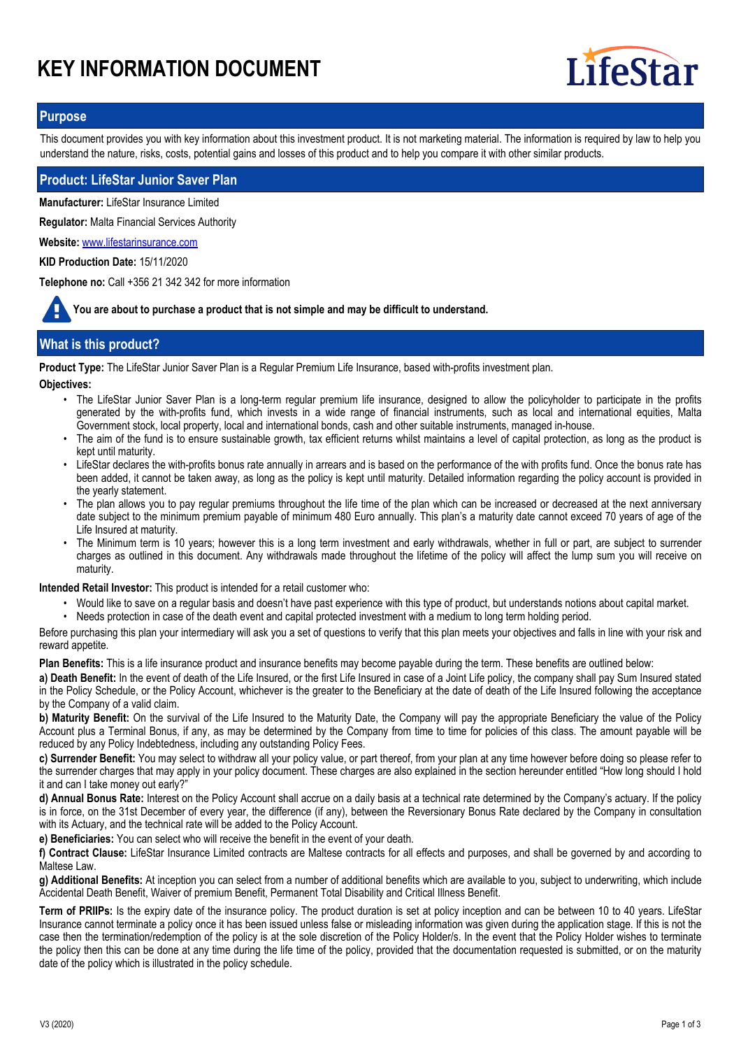# **KEY INFORMATION DOCUMENT**



# **Purpose**

This document provides you with key information about this investment product. It is not marketing material. The information is required by law to help you understand the nature, risks, costs, potential gains and losses of this product and to help you compare it with other similar products.

## **Product: LifeStar Junior Saver Plan**

**Manufacturer:** LifeStar Insurance Limited

**Regulator:** Malta Financial Services Authority

**Website:** www.lifestarinsurance.com

**KID Production Date:** 15/11/2020

**Telephone no:** Call +356 21 342 342 for more information

**You are about to purchase a product that is not simple and may be difficult to understand.**

# **What is this product?**

**Product Type:** The LifeStar Junior Saver Plan is a Regular Premium Life Insurance, based with-profits investment plan.

**Objectives:**

- The LifeStar Junior Saver Plan is a long-term regular premium life insurance, designed to allow the policyholder to participate in the profits generated by the with-profits fund, which invests in a wide range of financial instruments, such as local and international equities, Malta Government stock, local property, local and international bonds, cash and other suitable instruments, managed in-house.
- The aim of the fund is to ensure sustainable growth, tax efficient returns whilst maintains a level of capital protection, as long as the product is kept until maturity.
- LifeStar declares the with-profits bonus rate annually in arrears and is based on the performance of the with profits fund. Once the bonus rate has been added, it cannot be taken away, as long as the policy is kept until maturity. Detailed information regarding the policy account is provided in the yearly statement.
- The plan allows you to pay regular premiums throughout the life time of the plan which can be increased or decreased at the next anniversary date subject to the minimum premium payable of minimum 480 Euro annually. This plan's a maturity date cannot exceed 70 years of age of the Life Insured at maturity. •
- The Minimum term is 10 years; however this is a long term investment and early withdrawals, whether in full or part, are subject to surrender charges as outlined in this document. Any withdrawals made throughout the lifetime of the policy will affect the lump sum you will receive on maturity. •

**Intended Retail Investor:** This product is intended for a retail customer who:

- Would like to save on a regular basis and doesn't have past experience with this type of product, but understands notions about capital market.
- Needs protection in case of the death event and capital protected investment with a medium to long term holding period.

Before purchasing this plan your intermediary will ask you a set of questions to verify that this plan meets your objectives and falls in line with your risk and reward appetite.

**Plan Benefits:** This is a life insurance product and insurance benefits may become payable during the term. These benefits are outlined below:

**a) Death Benefit:** In the event of death of the Life Insured, or the first Life Insured in case of a Joint Life policy, the company shall pay Sum Insured stated in the Policy Schedule, or the Policy Account, whichever is the greater to the Beneficiary at the date of death of the Life Insured following the acceptance by the Company of a valid claim.

**b) Maturity Benefit:** On the survival of the Life Insured to the Maturity Date, the Company will pay the appropriate Beneficiary the value of the Policy Account plus a Terminal Bonus, if any, as may be determined by the Company from time to time for policies of this class. The amount payable will be reduced by any Policy Indebtedness, including any outstanding Policy Fees.

**c) Surrender Benefit:** You may select to withdraw all your policy value, or part thereof, from your plan at any time however before doing so please refer to the surrender charges that may apply in your policy document. These charges are also explained in the section hereunder entitled "How long should I hold it and can I take money out early?"

**d) Annual Bonus Rate:** Interest on the Policy Account shall accrue on a daily basis at a technical rate determined by the Company's actuary. If the policy is in force, on the 31st December of every year, the difference (if any), between the Reversionary Bonus Rate declared by the Company in consultation with its Actuary, and the technical rate will be added to the Policy Account.

**e) Beneficiaries:** You can select who will receive the benefit in the event of your death.

**f) Contract Clause:** LifeStar Insurance Limited contracts are Maltese contracts for all effects and purposes, and shall be governed by and according to Maltese Law.

**g) Additional Benefits:** At inception you can select from a number of additional benefits which are available to you, subject to underwriting, which include Accidental Death Benefit, Waiver of premium Benefit, Permanent Total Disability and Critical Illness Benefit.

**Term of PRIIPs:** Is the expiry date of the insurance policy. The product duration is set at policy inception and can be between 10 to 40 years. LifeStar Insurance cannot terminate a policy once it has been issued unless false or misleading information was given during the application stage. If this is not the case then the termination/redemption of the policy is at the sole discretion of the Policy Holder/s. In the event that the Policy Holder wishes to terminate the policy then this can be done at any time during the life time of the policy, provided that the documentation requested is submitted, or on the maturity date of the policy which is illustrated in the policy schedule.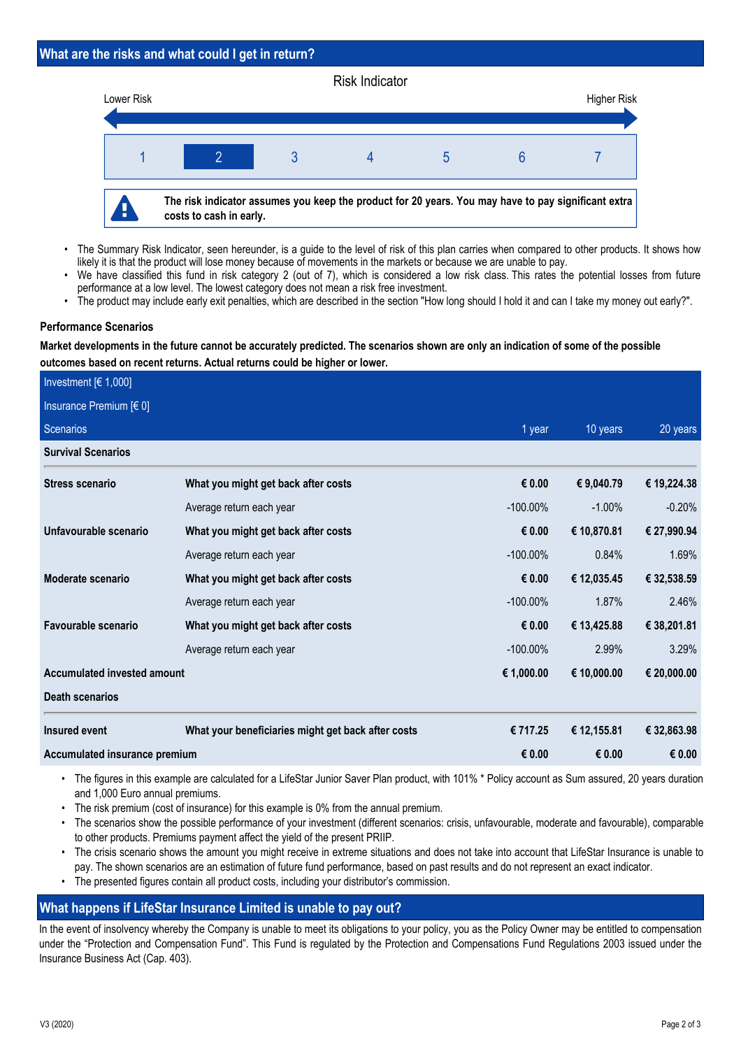# **What are the risks and what could I get in return?**



- The Summary Risk Indicator, seen hereunder, is a guide to the level of risk of this plan carries when compared to other products. It shows how likely it is that the product will lose money because of movements in the markets or because we are unable to pay. •
- We have classified this fund in risk category 2 (out of 7), which is considered a low risk class. This rates the potential losses from future performance at a low level. The lowest category does not mean a risk free investment. •
- The product may include early exit penalties, which are described in the section "How long should I hold it and can I take my money out early?".

# **Performance Scenarios**

**Market developments in the future cannot be accurately predicted. The scenarios shown are only an indication of some of the possible outcomes based on recent returns. Actual returns could be higher or lower.**

| Investment $[6 1,000]$             |                                                    |             |             |             |
|------------------------------------|----------------------------------------------------|-------------|-------------|-------------|
| Insurance Premium [€ 0]            |                                                    |             |             |             |
| Scenarios                          |                                                    | 1 year      | 10 years    | 20 years    |
| <b>Survival Scenarios</b>          |                                                    |             |             |             |
| <b>Stress scenario</b>             | What you might get back after costs                | € 0.00      | € 9,040.79  | € 19,224.38 |
|                                    | Average return each year                           | $-100.00\%$ | $-1.00\%$   | $-0.20%$    |
| Unfavourable scenario              | What you might get back after costs                | € 0.00      | € 10,870.81 | € 27,990.94 |
|                                    | Average return each year                           | $-100.00\%$ | 0.84%       | 1.69%       |
| Moderate scenario                  | What you might get back after costs                | € 0.00      | € 12,035.45 | € 32,538.59 |
|                                    | Average return each year                           | $-100.00\%$ | 1.87%       | 2.46%       |
| Favourable scenario                | What you might get back after costs                | € 0.00      | € 13,425.88 | € 38,201.81 |
|                                    | Average return each year                           | $-100.00\%$ | 2.99%       | 3.29%       |
| <b>Accumulated invested amount</b> |                                                    | € 1,000.00  | € 10,000.00 | € 20,000.00 |
| <b>Death scenarios</b>             |                                                    |             |             |             |
| Insured event                      | What your beneficiaries might get back after costs | € 717.25    | € 12,155.81 | € 32,863.98 |
| Accumulated insurance premium      |                                                    | € 0.00      | € $0.00$    | € 0.00      |

The figures in this example are calculated for a LifeStar Junior Saver Plan product, with 101% \* Policy account as Sum assured, 20 years duration • and 1,000 Euro annual premiums.

- The risk premium (cost of insurance) for this example is 0% from the annual premium.
- The scenarios show the possible performance of your investment (different scenarios: crisis, unfavourable, moderate and favourable), comparable to other products. Premiums payment affect the yield of the present PRIIP. •
- The crisis scenario shows the amount you might receive in extreme situations and does not take into account that LifeStar Insurance is unable to pay. The shown scenarios are an estimation of future fund performance, based on past results and do not represent an exact indicator. •
- The presented figures contain all product costs, including your distributor's commission.

# **What happens if LifeStar Insurance Limited is unable to pay out?**

In the event of insolvency whereby the Company is unable to meet its obligations to your policy, you as the Policy Owner may be entitled to compensation under the "Protection and Compensation Fund". This Fund is regulated by the Protection and Compensations Fund Regulations 2003 issued under the Insurance Business Act (Cap. 403).